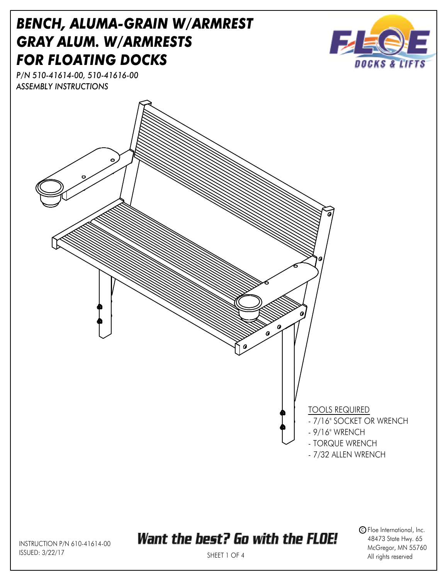

INSTRUCTION P/N 610-41614-00 ISSUED: 3/22/17

## Want the best? Go with the FLOE!

 $\mathsf{\Im}$  Floe International, Inc. 48473 State Hwy. 65 McGregor, MN 55760 All rights reserved

SHEET 1 OF 4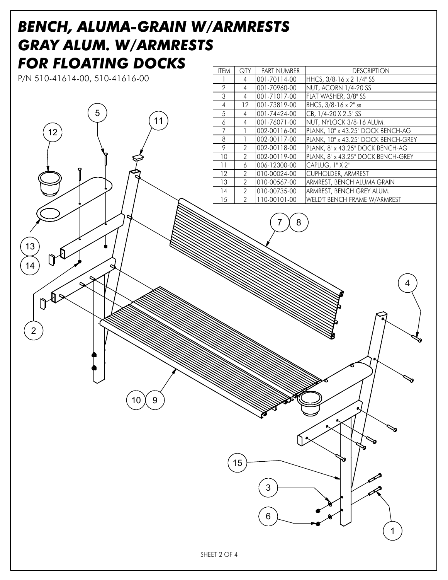## *BENCH, ALUMA-GRAIN W/ARMRESTS GRAY ALUM. W/ARMRESTS FOR FLOATING DOCKS*

P/N 510-41614-00, 510-41616-00

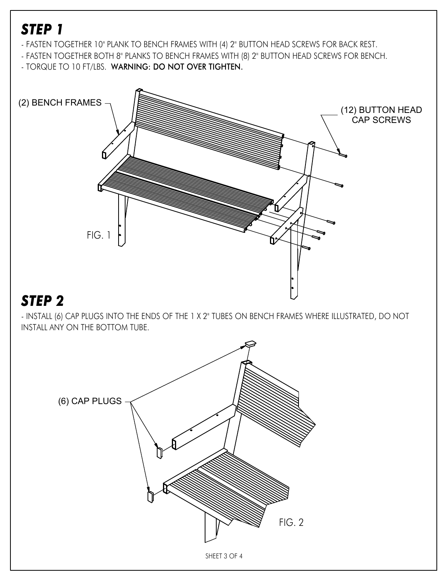## *STEP 1*

- FASTEN TOGETHER 10" PLANK TO BENCH FRAMES WITH (4) 2" BUTTON HEAD SCREWS FOR BACK REST.
- FASTEN TOGETHER BOTH 8" PLANKS TO BENCH FRAMES WITH (8) 2" BUTTON HEAD SCREWS FOR BENCH.
- TORQUE TO 10 FT/LBS. WARNING: DO NOT OVER TIGHTEN.



## *STEP 2*

- INSTALL (6) CAP PLUGS INTO THE ENDS OF THE 1 X 2" TUBES ON BENCH FRAMES WHERE ILLUSTRATED, DO NOT INSTALL ANY ON THE BOTTOM TUBE.